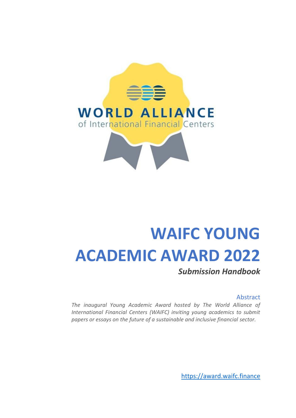

# **WAIFC YOUNG ACADEMIC AWARD 2022**

*Submission Handbook*

#### Abstract

*The inaugural Young Academic Award hosted by The World Alliance of International Financial Centers (WAIFC) inviting young academics to submit papers or essays on the future of a sustainable and inclusive financial sector.*

[https://award.waifc.finance](https://award.waifc.finance/)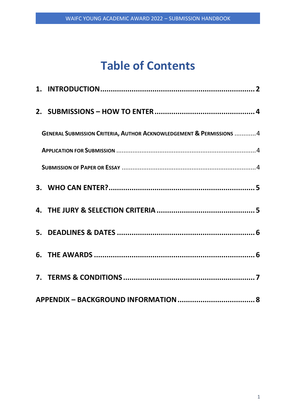# **Table of Contents**

| <b>GENERAL SUBMISSION CRITERIA, AUTHOR ACKNOWLEDGEMENT &amp; PERMISSIONS 4</b> |  |
|--------------------------------------------------------------------------------|--|
|                                                                                |  |
|                                                                                |  |
|                                                                                |  |
|                                                                                |  |
|                                                                                |  |
|                                                                                |  |
|                                                                                |  |
|                                                                                |  |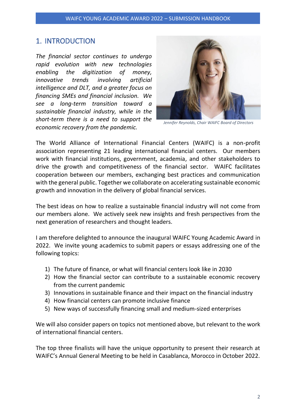## <span id="page-2-0"></span>1. INTRODUCTION

*The financial sector continues to undergo rapid evolution with new technologies enabling the digitization of money, innovative trends involving artificial intelligence and DLT, and a greater focus on financing SMEs and financial inclusion. We see a long-term transition toward a sustainable financial industry, while in the short-term there is a need to support the economic recovery from the pandemic.*



*Jennifer Reynolds, Chair WAIFC Board of Directors*

The World Alliance of International Financial Centers (WAIFC) is a non-profit association representing 21 leading international financial centers. Our members work with financial institutions, government, academia, and other stakeholders to drive the growth and competitiveness of the financial sector. WAIFC facilitates cooperation between our members, exchanging best practices and communication with the general public. Together we collaborate on accelerating sustainable economic growth and innovation in the delivery of global financial services.

The best ideas on how to realize a sustainable financial industry will not come from our members alone. We actively seek new insights and fresh perspectives from the next generation of researchers and thought leaders.

I am therefore delighted to announce the inaugural WAIFC Young Academic Award in 2022. We invite young academics to submit papers or essays addressing one of the following topics:

- 1) The future of finance, or what will financial centers look like in 2030
- 2) How the financial sector can contribute to a sustainable economic recovery from the current pandemic
- 3) Innovations in sustainable finance and their impact on the financial industry
- 4) How financial centers can promote inclusive finance
- 5) New ways of successfully financing small and medium-sized enterprises

We will also consider papers on topics not mentioned above, but relevant to the work of international financial centers.

The top three finalists will have the unique opportunity to present their research at WAIFC's Annual General Meeting to be held in Casablanca, Morocco in October 2022.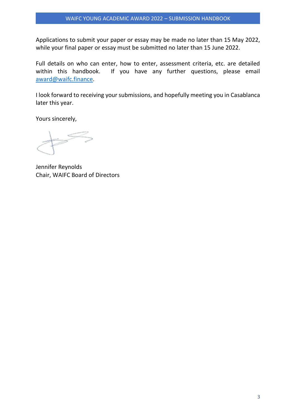Applications to submit your paper or essay may be made no later than 15 May 2022, while your final paper or essay must be submitted no later than 15 June 2022.

Full details on who can enter, how to enter, assessment criteria, etc. are detailed within this handbook. If you have any further questions, please email [award@waifc.finance.](mailto:award@waifc.finance)

I look forward to receiving your submissions, and hopefully meeting you in Casablanca later this year.

Yours sincerely,

Jennifer Reynolds Chair, WAIFC Board of Directors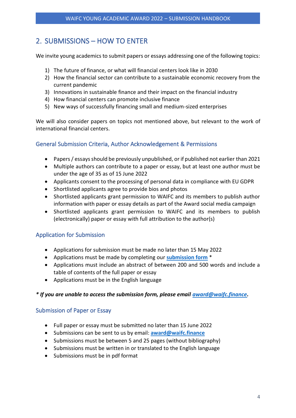# <span id="page-4-0"></span>2. SUBMISSIONS – HOW TO ENTER

We invite young academics to submit papers or essays addressing one of the following topics:

- 1) The future of finance, or what will financial centers look like in 2030
- 2) How the financial sector can contribute to a sustainable economic recovery from the current pandemic
- 3) Innovations in sustainable finance and their impact on the financial industry
- 4) How financial centers can promote inclusive finance
- 5) New ways of successfully financing small and medium-sized enterprises

We will also consider papers on topics not mentioned above, but relevant to the work of international financial centers.

### <span id="page-4-1"></span>General Submission Criteria, Author Acknowledgement & Permissions

- Papers / essays should be previously unpublished, or if published not earlier than 2021
- Multiple authors can contribute to a paper or essay, but at least one author must be under the age of 35 as of 15 June 2022
- Applicants consent to the processing of personal data in compliance with EU GDPR
- Shortlisted applicants agree to provide bios and photos
- Shortlisted applicants grant permission to WAIFC and its members to publish author information with paper or essay details as part of the Award social media campaign
- Shortlisted applicants grant permission to WAIFC and its members to publish (electronically) paper or essay with full attribution to the author(s)

### <span id="page-4-2"></span>Application for Submission

- Applications for submission must be made no later than 15 May 2022
- Applications must be made by completing our **[submission form](https://bit.ly/WAIFCYAA2022HB)** \*
- Applications must include an abstract of between 200 and 500 words and include a table of contents of the full paper or essay
- Applications must be in the English language

#### *\* If you are unable to access the submission form, please email [award@waifc.finance.](mailto:award@waifc.finance)*

#### <span id="page-4-3"></span>Submission of Paper or Essay

- Full paper or essay must be submitted no later than 15 June 2022
- Submissions can be sent to us by email: **[award@waifc.finance](mailto:award@waifc.finance)**
- Submissions must be between 5 and 25 pages (without bibliography)
- Submissions must be written in or translated to the English language
- Submissions must be in pdf format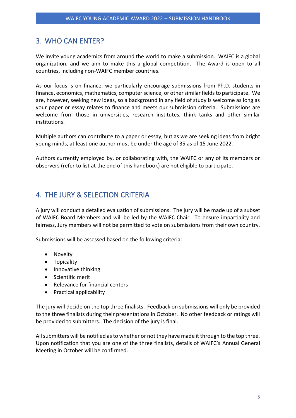# <span id="page-5-0"></span>3. WHO CAN ENTER?

We invite young academics from around the world to make a submission. WAIFC is a global organization, and we aim to make this a global competition. The Award is open to all countries, including non-WAIFC member countries.

As our focus is on finance, we particularly encourage submissions from Ph.D. students in finance, economics, mathematics, computer science, or other similar fields to participate. We are, however, seeking new ideas, so a background in any field of study is welcome as long as your paper or essay relates to finance and meets our submission criteria. Submissions are welcome from those in universities, research institutes, think tanks and other similar institutions.

Multiple authors can contribute to a paper or essay, but as we are seeking ideas from bright young minds, at least one author must be under the age of 35 as of 15 June 2022.

Authors currently employed by, or collaborating with, the WAIFC or any of its members or observers (refer to list at the end of this handbook) are not eligible to participate.

# <span id="page-5-1"></span>4. THE JURY & SELECTION CRITERIA

A jury will conduct a detailed evaluation of submissions. The jury will be made up of a subset of WAIFC Board Members and will be led by the WAIFC Chair. To ensure impartiality and fairness, Jury members will not be permitted to vote on submissions from their own country.

Submissions will be assessed based on the following criteria:

- Novelty
- Topicality
- Innovative thinking
- Scientific merit
- Relevance for financial centers
- Practical applicability

The jury will decide on the top three finalists. Feedback on submissions will only be provided to the three finalists during their presentations in October. No other feedback or ratings will be provided to submitters. The decision of the jury is final.

All submitters will be notified as to whether or not they have made it through to the top three. Upon notification that you are one of the three finalists, details of WAIFC's Annual General Meeting in October will be confirmed.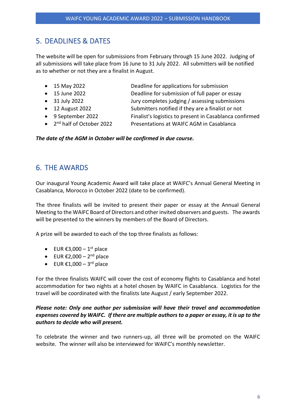# <span id="page-6-0"></span>5. DEADLINES & DATES

The website will be open for submissions from February through 15 June 2022. Judging of all submissions will take place from 16 June to 31 July 2022. All submitters will be notified as to whether or not they are a finalist in August.

- 
- 
- 
- 
- 
- $2<sup>nd</sup>$  half of October 2022

• 15 May 2022 Deadline for applications for submission

- 15 June 2022 Deadline for submission of full paper or essay
- 31 July 2022 Jury completes judging / assessing submissions
- 12 August 2022 Submitters notified if they are a finalist or not
- 9 September 2022 Finalist's logistics to present in Casablanca confirmed
	- Presentations at WAIFC AGM in Casablanca

#### *The date of the AGM in October will be confirmed in due course.*

# <span id="page-6-1"></span>6. THE AWARDS

Our inaugural Young Academic Award will take place at WAIFC's Annual General Meeting in Casablanca, Morocco in October 2022 (date to be confirmed).

The three finalists will be invited to present their paper or essay at the Annual General Meeting to the WAIFC Board of Directors and other invited observers and guests. The awards will be presented to the winners by members of the Board of Directors.

A prize will be awarded to each of the top three finalists as follows:

- EUR  $\epsilon$ 3,000 1<sup>st</sup> place
- $\bullet$  EUR €2,000 2<sup>nd</sup> place
- EUR  $\text{\ensuremath{\mathfrak{E}}1,000-3^{\text{rd}}}$  place

For the three finalists WAIFC will cover the cost of economy flights to Casablanca and hotel accommodation for two nights at a hotel chosen by WAIFC in Casablanca. Logistics for the travel will be coordinated with the finalists late August / early September 2022.

#### *Please note: Only one author per submission will have their travel and accommodation expenses covered by WAIFC. If there are multiple authors to a paper or essay, it is up to the authors to decide who will present.*

To celebrate the winner and two runners-up, all three will be promoted on the WAIFC website. The winner will also be interviewed for WAIFC's monthly newsletter.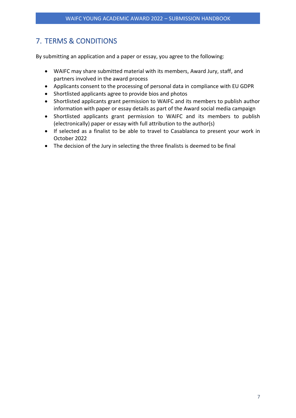# <span id="page-7-0"></span>7. TERMS & CONDITIONS

By submitting an application and a paper or essay, you agree to the following:

- WAIFC may share submitted material with its members, Award Jury, staff, and partners involved in the award process
- Applicants consent to the processing of personal data in compliance with EU GDPR
- Shortlisted applicants agree to provide bios and photos
- Shortlisted applicants grant permission to WAIFC and its members to publish author information with paper or essay details as part of the Award social media campaign
- Shortlisted applicants grant permission to WAIFC and its members to publish (electronically) paper or essay with full attribution to the author(s)
- If selected as a finalist to be able to travel to Casablanca to present your work in October 2022
- The decision of the Jury in selecting the three finalists is deemed to be final